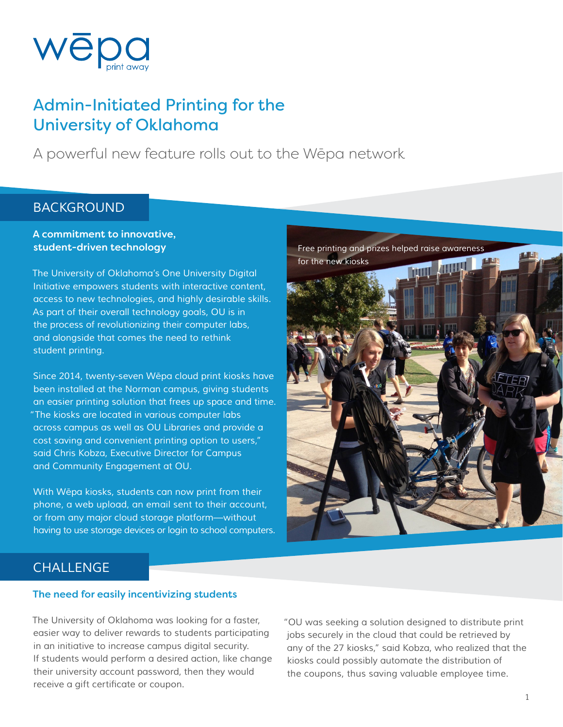

## Admin-Initiated Printing for the University of Oklahoma

A powerful new feature rolls out to the Wēpa network

### *BACKGROUND*

### A commitment to innovative, student-driven technology

*The University of Oklahoma's One University Digital Initiative empowers students with interactive content, access to new technologies, and highly desirable skills. As part of their overall technology goals, OU is in the process of revolutionizing their computer labs, and alongside that comes the need to rethink student printing.* 

cost saving and convenient printing option to users," *Since 2014, twenty-seven W*ē*pa cloud print kiosks have been installed at the Norman campus, giving students an easier printing solution that frees up space and time. "The kiosks are located in various computer labs across campus as well as OU Libraries and provide a cost saving and convenient printing option to users," said Chris Kobza, Executive Director for Campus and Community Engagement at OU.* 

*With W*ē*pa kiosks, students can now print from their phone, a web upload, an email sent to their account, or from any major cloud storage platform—without having to use storage devices or login to school computers.* 



## *CHALLENGE*

#### The need for easily incentivizing students

*The University of Oklahoma was looking for a faster, easier way to deliver rewards to students participating in an initiative to increase campus digital security. If students would perform a desired action, like change their university account password, then they would*  receive a gift certificate or coupon.

*"OU was seeking a solution designed to distribute print jobs securely in the cloud that could be retrieved by any of the 27 kiosks," said Kobza, who realized that the kiosks could possibly automate the distribution of the coupons, thus saving valuable employee time.*